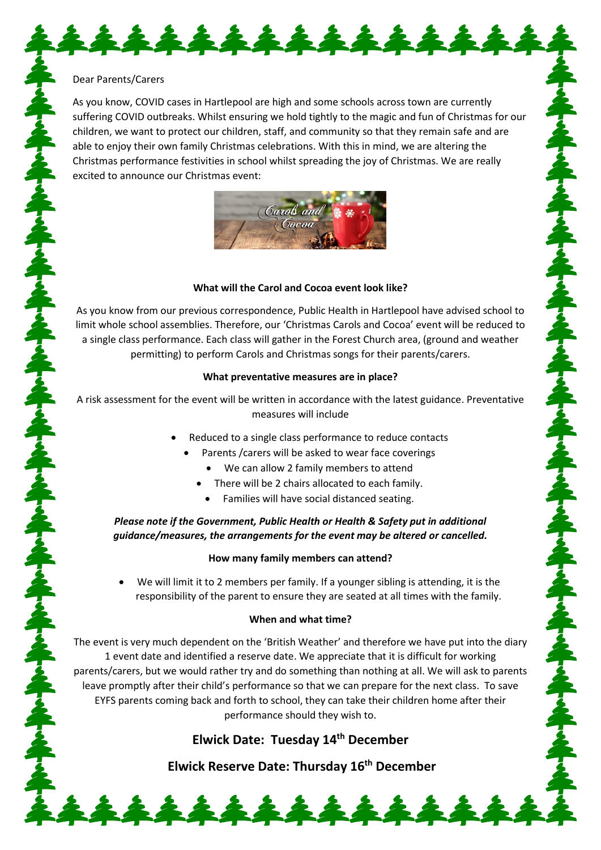#### Dear Parents/Carers

As you know, COVID cases in Hartlepool are high and some schools across town are currently suffering COVID outbreaks. Whilst ensuring we hold tightly to the magic and fun of Christmas for our children, we want to protect our children, staff, and community so that they remain safe and are able to enjoy their own family Christmas celebrations. With this in mind, we are altering the Christmas performance festivities in school whilst spreading the joy of Christmas. We are really excited to announce our Christmas event:

\*\*\*\*\*\*\*\*\*\*\*\*\*



#### **What will the Carol and Cocoa event look like?**

As you know from our previous correspondence, Public Health in Hartlepool have advised school to limit whole school assemblies. Therefore, our 'Christmas Carols and Cocoa' event will be reduced to a single class performance. Each class will gather in the Forest Church area, (ground and weather permitting) to perform Carols and Christmas songs for their parents/carers.

#### **What preventative measures are in place?**

A risk assessment for the event will be written in accordance with the latest guidance. Preventative measures will include

- Reduced to a single class performance to reduce contacts
	- Parents /carers will be asked to wear face coverings
		- We can allow 2 family members to attend
		- There will be 2 chairs allocated to each family.
			- Families will have social distanced seating.

*Please note if the Government, Public Health or Health & Safety put in additional guidance/measures, the arrangements for the event may be altered or cancelled.* 

#### **How many family members can attend?**

• We will limit it to 2 members per family. If a younger sibling is attending, it is the responsibility of the parent to ensure they are seated at all times with the family.

#### **When and what time?**

The event is very much dependent on the 'British Weather' and therefore we have put into the diary 1 event date and identified a reserve date. We appreciate that it is difficult for working parents/carers, but we would rather try and do something than nothing at all. We will ask to parents leave promptly after their child's performance so that we can prepare for the next class. To save EYFS parents coming back and forth to school, they can take their children home after their performance should they wish to.

# **Elwick Date: Tuesday 14th December**

**Elwick Reserve Date: Thursday 16th December** 

222222222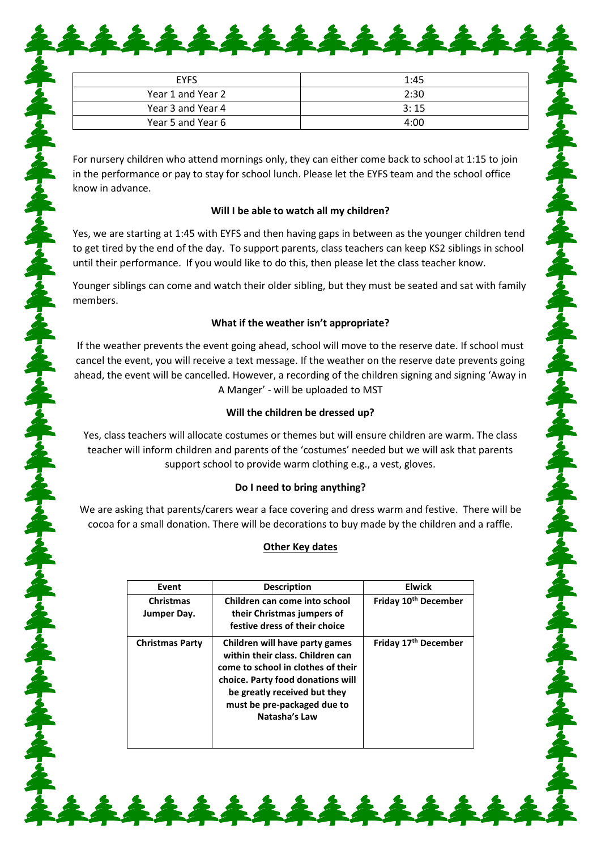| <b>EYFS</b>       | 1:45 |
|-------------------|------|
| Year 1 and Year 2 | 2:30 |
| Year 3 and Year 4 | 3:15 |
| Year 5 and Year 6 | 4:00 |

\*\*\*\*\*\*\*\*\*\*\*\*

For nursery children who attend mornings only, they can either come back to school at 1:15 to join in the performance or pay to stay for school lunch. Please let the EYFS team and the school office know in advance.

### **Will I be able to watch all my children?**

Yes, we are starting at 1:45 with EYFS and then having gaps in between as the younger children tend to get tired by the end of the day. To support parents, class teachers can keep KS2 siblings in school until their performance. If you would like to do this, then please let the class teacher know.

Younger siblings can come and watch their older sibling, but they must be seated and sat with family members.

### **What if the weather isn't appropriate?**

If the weather prevents the event going ahead, school will move to the reserve date. If school must cancel the event, you will receive a text message. If the weather on the reserve date prevents going ahead, the event will be cancelled. However, a recording of the children signing and signing 'Away in A Manger' - will be uploaded to MST

### **Will the children be dressed up?**

Yes, class teachers will allocate costumes or themes but will ensure children are warm. The class teacher will inform children and parents of the 'costumes' needed but we will ask that parents support school to provide warm clothing e.g., a vest, gloves.

# **Do I need to bring anything?**

We are asking that parents/carers wear a face covering and dress warm and festive. There will be cocoa for a small donation. There will be decorations to buy made by the children and a raffle.

# **Other Key dates**

| Event                           | <b>Description</b>                                                                                                                                                                                                            | <b>Elwick</b>                    |
|---------------------------------|-------------------------------------------------------------------------------------------------------------------------------------------------------------------------------------------------------------------------------|----------------------------------|
| <b>Christmas</b><br>Jumper Day. | Children can come into school<br>their Christmas jumpers of<br>festive dress of their choice                                                                                                                                  | Friday 10 <sup>th</sup> December |
| <b>Christmas Party</b>          | Children will have party games<br>within their class. Children can<br>come to school in clothes of their<br>choice. Party food donations will<br>be greatly received but they<br>must be pre-packaged due to<br>Natasha's Law | Friday 17 <sup>th</sup> December |

\*\*\*\*\*\*\*\*\*\*